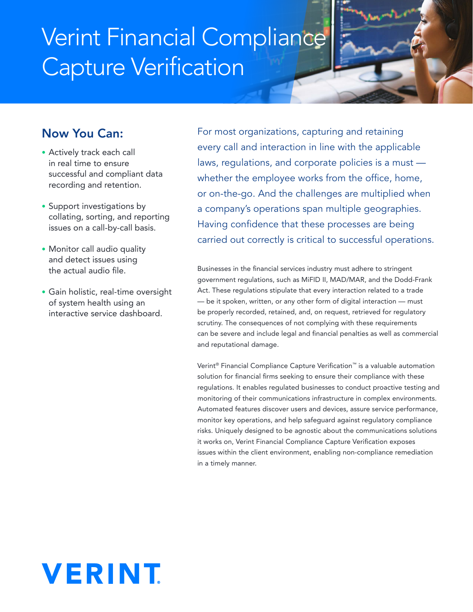# Verint Financial Compliance Capture Verification



- Actively track each call in real time to ensure successful and compliant data recording and retention.
- Support investigations by collating, sorting, and reporting issues on a call-by-call basis.
- Monitor call audio quality and detect issues using the actual audio file.
- Gain holistic, real-time oversight of system health using an interactive service dashboard.

For most organizations, capturing and retaining every call and interaction in line with the applicable laws, regulations, and corporate policies is a must whether the employee works from the office, home, or on-the-go. And the challenges are multiplied when a company's operations span multiple geographies. Having confidence that these processes are being carried out correctly is critical to successful operations.

Businesses in the financial services industry must adhere to stringent government regulations, such as MiFID II, MAD/MAR, and the Dodd-Frank Act. These regulations stipulate that every interaction related to a trade — be it spoken, written, or any other form of digital interaction — must be properly recorded, retained, and, on request, retrieved for regulatory scrutiny. The consequences of not complying with these requirements can be severe and include legal and financial penalties as well as commercial and reputational damage.

Verint<sup>®</sup> Financial Compliance Capture Verification<sup>™</sup> is a valuable automation solution for financial firms seeking to ensure their compliance with these regulations. It enables regulated businesses to conduct proactive testing and monitoring of their communications infrastructure in complex environments. Automated features discover users and devices, assure service performance, monitor key operations, and help safeguard against regulatory compliance risks. Uniquely designed to be agnostic about the communications solutions it works on, Verint Financial Compliance Capture Verification exposes issues within the client environment, enabling non-compliance remediation in a timely manner.